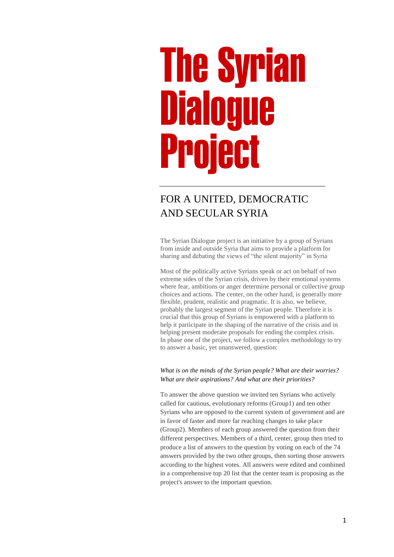# The Syrian Dialog Project

# FOR A UNITED, DEMOCRATIC AND SECULAR SYRIA

The Syrian Dialogue project is an initiative by a group of Syrians from inside and outside Syria that aims to provide a platform for sharing and debating the views of "the silent majority" in Syria

Most of the politically active Syrians speak or act on behalf of two extreme sides of the Syrian crisis, driven by their emotional systems where fear, ambitions or anger determine personal or collective group choices and actions. The center, on the other hand, is generally more flexible, prudent, realistic and pragmatic. It is also, we believe, probably the largest segment of the Syrian people. Therefore it is crucial that this group of Syrians is empowered with a platform to help it participate in the shaping of the narrative of the crisis and in helping present moderate proposals for ending the complex crisis. In phase one of the project, we follow a complex methodology to try to answer a basic, yet unanswered, question:

#### *What is on the minds of the Syrian people? What are their worries? What are their aspirations? And what are their priorities?*

To answer the above question we invited ten Syrians who actively called for cautious, evolutionary reforms (Group1) and ten other Syrians who are opposed to the current system of government and are in favor of faster and more far reaching changes to take place (Group2). Members of each group answered the question from their different perspectives. Members of a third, center, group then tried to produce a list of answers to the question by voting on each of the 74 answers provided by the two other groups, then sorting those answers according to the highest votes. All answers were edited and combined in a comprehensive top 20 list that the center team is proposing as the project's answer to the important question.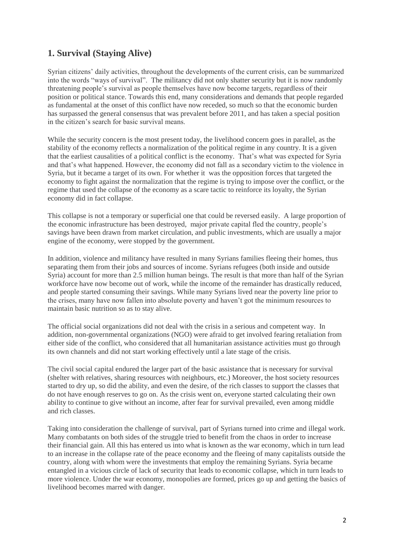# **1. Survival (Staying Alive)**

Syrian citizens' daily activities, throughout the developments of the current crisis, can be summarized into the words "ways of survival". The militancy did not only shatter security but it is now randomly threatening people's survival as people themselves have now become targets, regardless of their position or political stance. Towards this end, many considerations and demands that people regarded as fundamental at the onset of this conflict have now receded, so much so that the economic burden has surpassed the general consensus that was prevalent before 2011, and has taken a special position in the citizen's search for basic survival means.

While the security concern is the most present today, the livelihood concern goes in parallel, as the stability of the economy reflects a normalization of the political regime in any country. It is a given that the earliest causalities of a political conflict is the economy. That's what was expected for Syria and that's what happened. However, the economy did not fall as a secondary victim to the violence in Syria, but it became a target of its own. For whether it was the opposition forces that targeted the economy to fight against the normalization that the regime is trying to impose over the conflict, or the regime that used the collapse of the economy as a scare tactic to reinforce its loyalty, the Syrian economy did in fact collapse.

This collapse is not a temporary or superficial one that could be reversed easily. A large proportion of the economic infrastructure has been destroyed, major private capital fled the country, people's savings have been drawn from market circulation, and public investments, which are usually a major engine of the economy, were stopped by the government.

In addition, violence and militancy have resulted in many Syrians families fleeing their homes, thus separating them from their jobs and sources of income. Syrians refugees (both inside and outside Syria) account for more than 2.5 million human beings. The result is that more than half of the Syrian workforce have now become out of work, while the income of the remainder has drastically reduced, and people started consuming their savings. While many Syrians lived near the poverty line prior to the crises, many have now fallen into absolute poverty and haven't got the minimum resources to maintain basic nutrition so as to stay alive.

The official social organizations did not deal with the crisis in a serious and competent way. In addition, non-governmental organizations (NGO) were afraid to get involved fearing retaliation from either side of the conflict, who considered that all humanitarian assistance activities must go through its own channels and did not start working effectively until a late stage of the crisis.

The civil social capital endured the larger part of the basic assistance that is necessary for survival (shelter with relatives, sharing resources with neighbours, etc.) Moreover, the host society resources started to dry up, so did the ability, and even the desire, of the rich classes to support the classes that do not have enough reserves to go on. As the crisis went on, everyone started calculating their own ability to continue to give without an income, after fear for survival prevailed, even among middle and rich classes.

Taking into consideration the challenge of survival, part of Syrians turned into crime and illegal work. Many combatants on both sides of the struggle tried to benefit from the chaos in order to increase their financial gain. All this has entered us into what is known as the war economy, which in turn lead to an increase in the collapse rate of the peace economy and the fleeing of many capitalists outside the country, along with whom were the investments that employ the remaining Syrians. Syria became entangled in a vicious circle of lack of security that leads to economic collapse, which in turn leads to more violence. Under the war economy, monopolies are formed, prices go up and getting the basics of livelihood becomes marred with danger.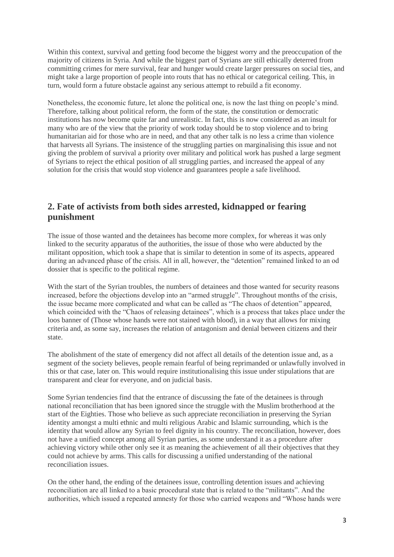Within this context, survival and getting food become the biggest worry and the preoccupation of the majority of citizens in Syria. And while the biggest part of Syrians are still ethically deterred from committing crimes for mere survival, fear and hunger would create larger pressures on social ties, and might take a large proportion of people into routs that has no ethical or categorical ceiling. This, in turn, would form a future obstacle against any serious attempt to rebuild a fit economy.

Nonetheless, the economic future, let alone the political one, is now the last thing on people's mind. Therefore, talking about political reform, the form of the state, the constitution or democratic institutions has now become quite far and unrealistic. In fact, this is now considered as an insult for many who are of the view that the priority of work today should be to stop violence and to bring humanitarian aid for those who are in need, and that any other talk is no less a crime than violence that harvests all Syrians. The insistence of the struggling parties on marginalising this issue and not giving the problem of survival a priority over military and political work has pushed a large segment of Syrians to reject the ethical position of all struggling parties, and increased the appeal of any solution for the crisis that would stop violence and guarantees people a safe livelihood.

# **2. Fate of activists from both sides arrested, kidnapped or fearing punishment**

The issue of those wanted and the detainees has become more complex, for whereas it was only linked to the security apparatus of the authorities, the issue of those who were abducted by the militant opposition, which took a shape that is similar to detention in some of its aspects, appeared during an advanced phase of the crisis. All in all, however, the "detention" remained linked to an od dossier that is specific to the political regime.

With the start of the Syrian troubles, the numbers of detainees and those wanted for security reasons increased, before the objections develop into an "armed struggle". Throughout months of the crisis, the issue became more complicated and what can be called as "The chaos of detention" appeared, which coincided with the "Chaos of releasing detainees", which is a process that takes place under the loos banner of (Those whose hands were not stained with blood), in a way that allows for mixing criteria and, as some say, increases the relation of antagonism and denial between citizens and their state.

The abolishment of the state of emergency did not affect all details of the detention issue and, as a segment of the society believes, people remain fearful of being reprimanded or unlawfully involved in this or that case, later on. This would require institutionalising this issue under stipulations that are transparent and clear for everyone, and on judicial basis.

Some Syrian tendencies find that the entrance of discussing the fate of the detainees is through national reconciliation that has been ignored since the struggle with the Muslim brotherhood at the start of the Eighties. Those who believe as such appreciate reconciliation in preserving the Syrian identity amongst a multi ethnic and multi religious Arabic and Islamic surrounding, which is the identity that would allow any Syrian to feel dignity in his country. The reconciliation, however, does not have a unified concept among all Syrian parties, as some understand it as a procedure after achieving victory while other only see it as meaning the achievement of all their objectives that they could not achieve by arms. This calls for discussing a unified understanding of the national reconciliation issues.

On the other hand, the ending of the detainees issue, controlling detention issues and achieving reconciliation are all linked to a basic procedural state that is related to the "militants". And the authorities, which issued a repeated amnesty for those who carried weapons and "Whose hands were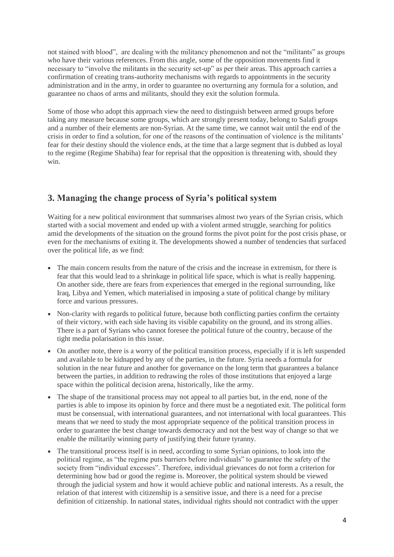not stained with blood", are dealing with the militancy phenomenon and not the "militants" as groups who have their various references. From this angle, some of the opposition movements find it necessary to "involve the militants in the security set-up" as per their areas. This approach carries a confirmation of creating trans-authority mechanisms with regards to appointments in the security administration and in the army, in order to guarantee no overturning any formula for a solution, and guarantee no chaos of arms and militants, should they exit the solution formula.

Some of those who adopt this approach view the need to distinguish between armed groups before taking any measure because some groups, which are strongly present today, belong to Salafi groups and a number of their elements are non-Syrian. At the same time, we cannot wait until the end of the crisis in order to find a solution, for one of the reasons of the continuation of violence is the militants' fear for their destiny should the violence ends, at the time that a large segment that is dubbed as loyal to the regime (Regime Shabiha) fear for reprisal that the opposition is threatening with, should they win.

# **3. Managing the change process of Syria's political system**

Waiting for a new political environment that summarises almost two years of the Syrian crisis, which started with a social movement and ended up with a violent armed struggle, searching for politics amid the developments of the situation on the ground forms the pivot point for the post crisis phase, or even for the mechanisms of exiting it. The developments showed a number of tendencies that surfaced over the political life, as we find:

- The main concern results from the nature of the crisis and the increase in extremism, for there is fear that this would lead to a shrinkage in political life space, which is what is really happening. On another side, there are fears from experiences that emerged in the regional surrounding, like Iraq, Libya and Yemen, which materialised in imposing a state of political change by military force and various pressures.
- Non-clarity with regards to political future, because both conflicting parties confirm the certainty of their victory, with each side having its visible capability on the ground, and its strong allies. There is a part of Syrians who cannot foresee the political future of the country, because of the tight media polarisation in this issue.
- On another note, there is a worry of the political transition process, especially if it is left suspended and available to be kidnapped by any of the parties, in the future. Syria needs a formula for solution in the near future and another for governance on the long term that guarantees a balance between the parties, in addition to redrawing the roles of those institutions that enjoyed a large space within the political decision arena, historically, like the army.
- The shape of the transitional process may not appeal to all parties but, in the end, none of the parties is able to impose its opinion by force and there must be a negotiated exit. The political form must be consensual, with international guarantees, and not international with local guarantees. This means that we need to study the most appropriate sequence of the political transition process in order to guarantee the best change towards democracy and not the best way of change so that we enable the militarily winning party of justifying their future tyranny.
- The transitional process itself is in need, according to some Syrian opinions, to look into the political regime, as "the regime puts barriers before individuals" to guarantee the safety of the society from "individual excesses". Therefore, individual grievances do not form a criterion for determining how bad or good the regime is. Moreover, the political system should be viewed through the judicial system and how it would achieve public and national interests. As a result, the relation of that interest with citizenship is a sensitive issue, and there is a need for a precise definition of citizenship. In national states, individual rights should not contradict with the upper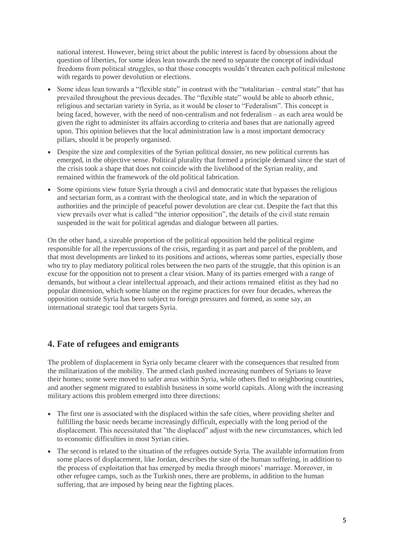national interest. However, being strict about the public interest is faced by obsessions about the question of liberties, for some ideas lean towards the need to separate the concept of individual freedoms from political struggles, so that those concepts wouldn't threaten each political milestone with regards to power devolution or elections.

- Some ideas lean towards a "flexible state" in contrast with the "totalitarian central state" that has prevailed throughout the previous decades. The "flexible state" would be able to absorb ethnic, religious and sectarian variety in Syria, as it would be closer to "Federalism". This concept is being faced, however, with the need of non-centralism and not federalism – as each area would be given the right to administer its affairs according to criteria and bases that are nationally agreed upon. This opinion believes that the local administration law is a most important democracy pillars, should it be properly organised.
- Despite the size and complexities of the Syrian political dossier, no new political currents has emerged, in the objective sense. Political plurality that formed a principle demand since the start of the crisis took a shape that does not coincide with the livelihood of the Syrian reality, and remained within the framework of the old political fabrication.
- Some opinions view future Syria through a civil and democratic state that bypasses the religious and sectarian form, as a contrast with the theological state, and in which the separation of authorities and the principle of peaceful power devolution are clear cut. Despite the fact that this view prevails over what is called "the interior opposition", the details of the civil state remain suspended in the wait for political agendas and dialogue between all parties.

On the other hand, a sizeable proportion of the political opposition held the political regime responsible for all the repercussions of the crisis, regarding it as part and parcel of the problem, and that most developments are linked to its positions and actions, whereas some parties, especially those who try to play mediatory political roles between the two parts of the struggle, that this opinion is an excuse for the opposition not to present a clear vision. Many of its parties emerged with a range of demands, but without a clear intellectual approach, and their actions remained elitist as they had no popular dimension, which some blame on the regime practices for over four decades, whereas the opposition outside Syria has been subject to foreign pressures and formed, as some say, an international strategic tool that targets Syria.

# **4. Fate of refugees and emigrants**

The problem of displacement in Syria only became clearer with the consequences that resulted from the militarization of the mobility. The armed clash pushed increasing numbers of Syrians to leave their homes; some were moved to safer areas within Syria, while others fled to neighboring countries, and another segment migrated to establish business in some world capitals. Along with the increasing military actions this problem emerged into three directions:

- The first one is associated with the displaced within the safe cities, where providing shelter and fulfilling the basic needs became increasingly difficult, especially with the long period of the displacement. This necessitated that "the displaced" adjust with the new circumstances, which led to economic difficulties in most Syrian cities.
- The second is related to the situation of the refugees outside Syria. The available information from some places of displacement, like Jordan, describes the size of the human suffering, in addition to the process of exploitation that has emerged by media through minors' marriage. Moreover, in other refugee camps, such as the Turkish ones, there are problems, in addition to the human suffering, that are imposed by being near the fighting places.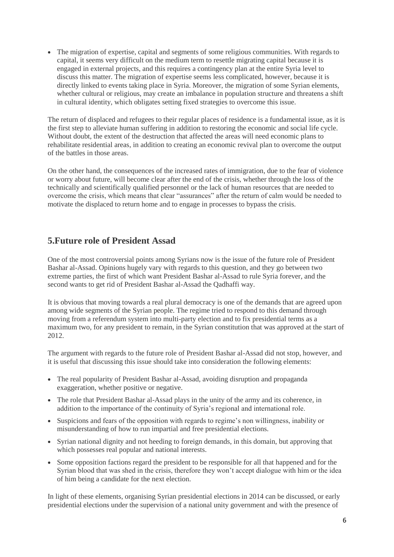The migration of expertise, capital and segments of some religious communities. With regards to capital, it seems very difficult on the medium term to resettle migrating capital because it is engaged in external projects, and this requires a contingency plan at the entire Syria level to discuss this matter. The migration of expertise seems less complicated, however, because it is directly linked to events taking place in Syria. Moreover, the migration of some Syrian elements, whether cultural or religious, may create an imbalance in population structure and threatens a shift in cultural identity, which obligates setting fixed strategies to overcome this issue.

The return of displaced and refugees to their regular places of residence is a fundamental issue, as it is the first step to alleviate human suffering in addition to restoring the economic and social life cycle. Without doubt, the extent of the destruction that affected the areas will need economic plans to rehabilitate residential areas, in addition to creating an economic revival plan to overcome the output of the battles in those areas.

On the other hand, the consequences of the increased rates of immigration, due to the fear of violence or worry about future, will become clear after the end of the crisis, whether through the loss of the technically and scientifically qualified personnel or the lack of human resources that are needed to overcome the crisis, which means that clear "assurances" after the return of calm would be needed to motivate the displaced to return home and to engage in processes to bypass the crisis.

# **5.Future role of President Assad**

One of the most controversial points among Syrians now is the issue of the future role of President Bashar al-Assad. Opinions hugely vary with regards to this question, and they go between two extreme parties, the first of which want President Bashar al-Assad to rule Syria forever, and the second wants to get rid of President Bashar al-Assad the Qadhaffi way.

It is obvious that moving towards a real plural democracy is one of the demands that are agreed upon among wide segments of the Syrian people. The regime tried to respond to this demand through moving from a referendum system into multi-party election and to fix presidential terms as a maximum two, for any president to remain, in the Syrian constitution that was approved at the start of 2012.

The argument with regards to the future role of President Bashar al-Assad did not stop, however, and it is useful that discussing this issue should take into consideration the following elements:

- The real popularity of President Bashar al-Assad, avoiding disruption and propaganda exaggeration, whether positive or negative.
- The role that President Bashar al-Assad plays in the unity of the army and its coherence, in addition to the importance of the continuity of Syria's regional and international role.
- Suspicions and fears of the opposition with regards to regime's non willingness, inability or misunderstanding of how to run impartial and free presidential elections.
- Syrian national dignity and not heeding to foreign demands, in this domain, but approving that which possesses real popular and national interests.
- Some opposition factions regard the president to be responsible for all that happened and for the Syrian blood that was shed in the crisis, therefore they won't accept dialogue with him or the idea of him being a candidate for the next election.

In light of these elements, organising Syrian presidential elections in 2014 can be discussed, or early presidential elections under the supervision of a national unity government and with the presence of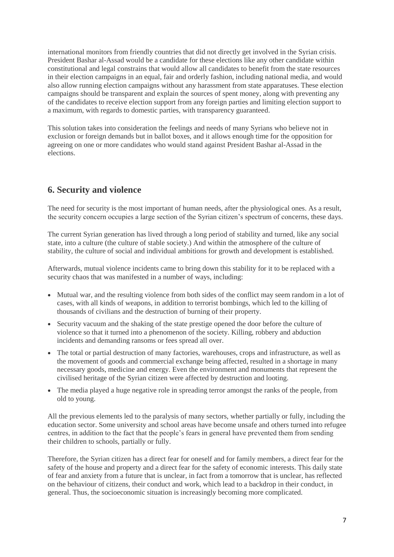international monitors from friendly countries that did not directly get involved in the Syrian crisis. President Bashar al-Assad would be a candidate for these elections like any other candidate within constitutional and legal constrains that would allow all candidates to benefit from the state resources in their election campaigns in an equal, fair and orderly fashion, including national media, and would also allow running election campaigns without any harassment from state apparatuses. These election campaigns should be transparent and explain the sources of spent money, along with preventing any of the candidates to receive election support from any foreign parties and limiting election support to a maximum, with regards to domestic parties, with transparency guaranteed.

This solution takes into consideration the feelings and needs of many Syrians who believe not in exclusion or foreign demands but in ballot boxes, and it allows enough time for the opposition for agreeing on one or more candidates who would stand against President Bashar al-Assad in the elections.

# **6. Security and violence**

The need for security is the most important of human needs, after the physiological ones. As a result, the security concern occupies a large section of the Syrian citizen's spectrum of concerns, these days.

The current Syrian generation has lived through a long period of stability and turned, like any social state, into a culture (the culture of stable society.) And within the atmosphere of the culture of stability, the culture of social and individual ambitions for growth and development is established.

Afterwards, mutual violence incidents came to bring down this stability for it to be replaced with a security chaos that was manifested in a number of ways, including:

- Mutual war, and the resulting violence from both sides of the conflict may seem random in a lot of cases, with all kinds of weapons, in addition to terrorist bombings, which led to the killing of thousands of civilians and the destruction of burning of their property.
- Security vacuum and the shaking of the state prestige opened the door before the culture of violence so that it turned into a phenomenon of the society. Killing, robbery and abduction incidents and demanding ransoms or fees spread all over.
- The total or partial destruction of many factories, warehouses, crops and infrastructure, as well as the movement of goods and commercial exchange being affected, resulted in a shortage in many necessary goods, medicine and energy. Even the environment and monuments that represent the civilised heritage of the Syrian citizen were affected by destruction and looting.
- The media played a huge negative role in spreading terror amongst the ranks of the people, from old to young.

All the previous elements led to the paralysis of many sectors, whether partially or fully, including the education sector. Some university and school areas have become unsafe and others turned into refugee centres, in addition to the fact that the people's fears in general have prevented them from sending their children to schools, partially or fully.

Therefore, the Syrian citizen has a direct fear for oneself and for family members, a direct fear for the safety of the house and property and a direct fear for the safety of economic interests. This daily state of fear and anxiety from a future that is unclear, in fact from a tomorrow that is unclear, has reflected on the behaviour of citizens, their conduct and work, which lead to a backdrop in their conduct, in general. Thus, the socioeconomic situation is increasingly becoming more complicated.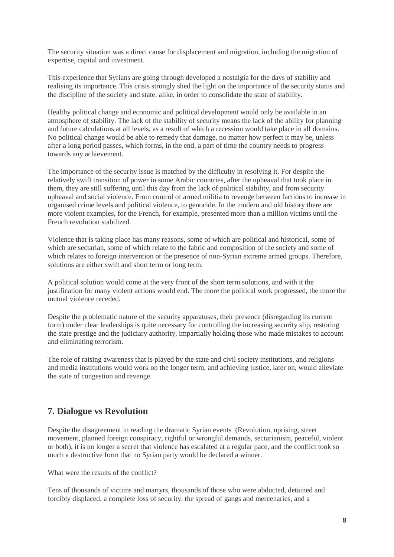The security situation was a direct cause for displacement and migration, including the migration of expertise, capital and investment.

This experience that Syrians are going through developed a nostalgia for the days of stability and realising its importance. This crisis strongly shed the light on the importance of the security status and the discipline of the society and state, alike, in order to consolidate the state of stability.

Healthy political change and economic and political development would only be available in an atmosphere of stability. The lack of the stability of security means the lack of the ability for planning and future calculations at all levels, as a result of which a recession would take place in all domains. No political change would be able to remedy that damage, no matter how perfect it may be, unless after a long period passes, which forms, in the end, a part of time the country needs to progress towards any achievement.

The importance of the security issue is matched by the difficulty in resolving it. For despite the relatively swift transition of power in some Arabic countries, after the upheaval that took place in them, they are still suffering until this day from the lack of political stability, and from security upheaval and social violence. From control of armed militia to revenge between factions to increase in organised crime levels and political violence, to genocide. In the modern and old history there are more violent examples, for the French, for example, presented more than a million victims until the French revolution stabilized.

Violence that is taking place has many reasons, some of which are political and historical, some of which are sectarian, some of which relate to the fabric and composition of the society and some of which relates to foreign intervention or the presence of non-Syrian extreme armed groups. Therefore, solutions are either swift and short term or long term.

A political solution would come at the very front of the short term solutions, and with it the justification for many violent actions would end. The more the political work progressed, the more the mutual violence receded.

Despite the problematic nature of the security apparatuses, their presence (disregarding its current form) under clear leaderships is quite necessary for controlling the increasing security slip, restoring the state prestige and the judiciary authority, impartially holding those who made mistakes to account and eliminating terrorism.

The role of raising awareness that is played by the state and civil society institutions, and religions and media institutions would work on the longer term, and achieving justice, later on, would alleviate the state of congestion and revenge.

# **7. Dialogue vs Revolution**

Despite the disagreement in reading the dramatic Syrian events (Revolution, uprising, street movement, planned foreign conspiracy, rightful or wrongful demands, sectarianism, peaceful, violent or both), it is no longer a secret that violence has escalated at a regular pace, and the conflict took so much a destructive form that no Syrian party would be declared a winner.

What were the results of the conflict?

Tens of thousands of victims and martyrs, thousands of those who were abducted, detained and forcibly displaced, a complete loss of security, the spread of gangs and mercenaries, and a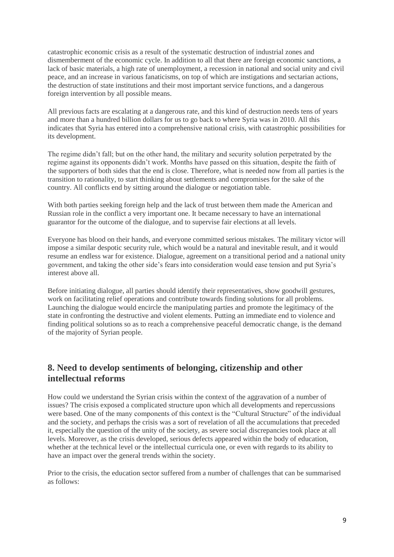catastrophic economic crisis as a result of the systematic destruction of industrial zones and dismemberment of the economic cycle. In addition to all that there are foreign economic sanctions, a lack of basic materials, a high rate of unemployment, a recession in national and social unity and civil peace, and an increase in various fanaticisms, on top of which are instigations and sectarian actions, the destruction of state institutions and their most important service functions, and a dangerous foreign intervention by all possible means.

All previous facts are escalating at a dangerous rate, and this kind of destruction needs tens of years and more than a hundred billion dollars for us to go back to where Syria was in 2010. All this indicates that Syria has entered into a comprehensive national crisis, with catastrophic possibilities for its development.

The regime didn't fall; but on the other hand, the military and security solution perpetrated by the regime against its opponents didn't work. Months have passed on this situation, despite the faith of the supporters of both sides that the end is close. Therefore, what is needed now from all parties is the transition to rationality, to start thinking about settlements and compromises for the sake of the country. All conflicts end by sitting around the dialogue or negotiation table.

With both parties seeking foreign help and the lack of trust between them made the American and Russian role in the conflict a very important one. It became necessary to have an international guarantor for the outcome of the dialogue, and to supervise fair elections at all levels.

Everyone has blood on their hands, and everyone committed serious mistakes. The military victor will impose a similar despotic security rule, which would be a natural and inevitable result, and it would resume an endless war for existence. Dialogue, agreement on a transitional period and a national unity government, and taking the other side's fears into consideration would ease tension and put Syria's interest above all.

Before initiating dialogue, all parties should identify their representatives, show goodwill gestures, work on facilitating relief operations and contribute towards finding solutions for all problems. Launching the dialogue would encircle the manipulating parties and promote the legitimacy of the state in confronting the destructive and violent elements. Putting an immediate end to violence and finding political solutions so as to reach a comprehensive peaceful democratic change, is the demand of the majority of Syrian people.

# **8. Need to develop sentiments of belonging, citizenship and other intellectual reforms**

How could we understand the Syrian crisis within the context of the aggravation of a number of issues? The crisis exposed a complicated structure upon which all developments and repercussions were based. One of the many components of this context is the "Cultural Structure" of the individual and the society, and perhaps the crisis was a sort of revelation of all the accumulations that preceded it, especially the question of the unity of the society, as severe social discrepancies took place at all levels. Moreover, as the crisis developed, serious defects appeared within the body of education, whether at the technical level or the intellectual curricula one, or even with regards to its ability to have an impact over the general trends within the society.

Prior to the crisis, the education sector suffered from a number of challenges that can be summarised as follows: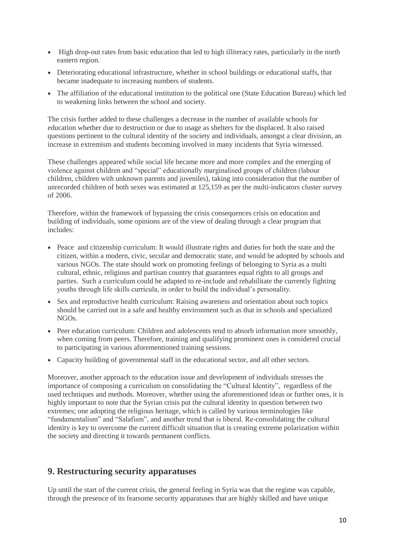- High drop-out rates from basic education that led to high illiteracy rates, particularly in the north eastern region.
- Deteriorating educational infrastructure, whether in school buildings or educational staffs, that became inadequate to increasing numbers of students.
- The affiliation of the educational institution to the political one (State Education Bureau) which led to weakening links between the school and society.

The crisis further added to these challenges a decrease in the number of available schools for education whether due to destruction or due to usage as shelters for the displaced. It also raised questions pertinent to the cultural identity of the society and individuals, amongst a clear division, an increase in extremism and students becoming involved in many incidents that Syria witnessed.

These challenges appeared while social life became more and more complex and the emerging of violence against children and "special" educationally marginalised groups of children (labour children, children with unknown parents and juveniles), taking into consideration that the number of unrecorded children of both sexes was estimated at 125,159 as per the multi-indicators cluster survey of 2006.

Therefore, within the framework of bypassing the crisis consequences crisis on education and building of individuals, some opinions are of the view of dealing through a clear program that includes:

- Peace and citizenship curriculum: It would illustrate rights and duties for both the state and the citizen, within a modern, civic, secular and democratic state, and would be adopted by schools and various NGOs. The state should work on promoting feelings of belonging to Syria as a multi cultural, ethnic, religious and partisan country that guarantees equal rights to all groups and parties. Such a curriculum could be adapted to re-include and rehabilitate the currently fighting youths through life skills curricula, in order to build the individual's personality.
- Sex and reproductive health curriculum: Raising awareness and orientation about such topics should be carried out in a safe and healthy environment such as that in schools and specialized NGOs.
- Peer education curriculum: Children and adolescents tend to absorb information more smoothly, when coming from peers. Therefore, training and qualifying prominent ones is considered crucial to participating in various aforementioned training sessions.
- Capacity building of governmental staff in the educational sector, and all other sectors.

Moreover, another approach to the education issue and development of individuals stresses the importance of composing a curriculum on consolidating the "Cultural Identity", regardless of the used techniques and methods. Moreover, whether using the aforementioned ideas or further ones, it is highly important to note that the Syrian crisis put the cultural identity in question between two extremes; one adopting the religious heritage, which is called by various terminologies like "fundamentalism" and "Salafism", and another trend that is liberal. Re-consolidating the cultural identity is key to overcome the current difficult situation that is creating extreme polarization within the society and directing it towards permanent conflicts.

# **9. Restructuring security apparatuses**

Up until the start of the current crisis, the general feeling in Syria was that the regime was capable, through the presence of its fearsome security apparatuses that are highly skilled and have unique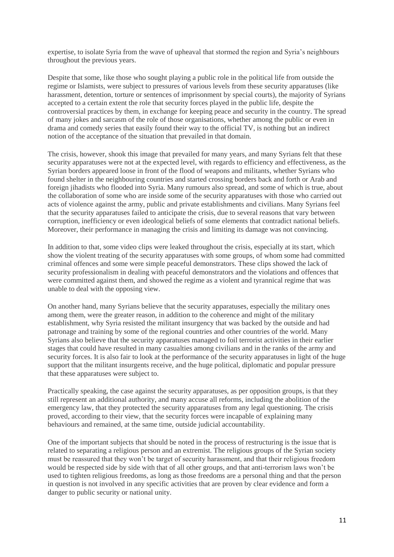expertise, to isolate Syria from the wave of upheaval that stormed the region and Syria's neighbours throughout the previous years.

Despite that some, like those who sought playing a public role in the political life from outside the regime or Islamists, were subject to pressures of various levels from these security apparatuses (like harassment, detention, torture or sentences of imprisonment by special courts), the majority of Syrians accepted to a certain extent the role that security forces played in the public life, despite the controversial practices by them, in exchange for keeping peace and security in the country. The spread of many jokes and sarcasm of the role of those organisations, whether among the public or even in drama and comedy series that easily found their way to the official TV, is nothing but an indirect notion of the acceptance of the situation that prevailed in that domain.

The crisis, however, shook this image that prevailed for many years, and many Syrians felt that these security apparatuses were not at the expected level, with regards to efficiency and effectiveness, as the Syrian borders appeared loose in front of the flood of weapons and militants, whether Syrians who found shelter in the neighbouring countries and started crossing borders back and forth or Arab and foreign jihadists who flooded into Syria. Many rumours also spread, and some of which is true, about the collaboration of some who are inside some of the security apparatuses with those who carried out acts of violence against the army, public and private establishments and civilians. Many Syrians feel that the security apparatuses failed to anticipate the crisis, due to several reasons that vary between corruption, inefficiency or even ideological beliefs of some elements that contradict national beliefs. Moreover, their performance in managing the crisis and limiting its damage was not convincing.

In addition to that, some video clips were leaked throughout the crisis, especially at its start, which show the violent treating of the security apparatuses with some groups, of whom some had committed criminal offences and some were simple peaceful demonstrators. These clips showed the lack of security professionalism in dealing with peaceful demonstrators and the violations and offences that were committed against them, and showed the regime as a violent and tyrannical regime that was unable to deal with the opposing view.

On another hand, many Syrians believe that the security apparatuses, especially the military ones among them, were the greater reason, in addition to the coherence and might of the military establishment, why Syria resisted the militant insurgency that was backed by the outside and had patronage and training by some of the regional countries and other countries of the world. Many Syrians also believe that the security apparatuses managed to foil terrorist activities in their earlier stages that could have resulted in many casualties among civilians and in the ranks of the army and security forces. It is also fair to look at the performance of the security apparatuses in light of the huge support that the militant insurgents receive, and the huge political, diplomatic and popular pressure that these apparatuses were subject to.

Practically speaking, the case against the security apparatuses, as per opposition groups, is that they still represent an additional authority, and many accuse all reforms, including the abolition of the emergency law, that they protected the security apparatuses from any legal questioning. The crisis proved, according to their view, that the security forces were incapable of explaining many behaviours and remained, at the same time, outside judicial accountability.

One of the important subjects that should be noted in the process of restructuring is the issue that is related to separating a religious person and an extremist. The religious groups of the Syrian society must be reassured that they won't be target of security harassment, and that their religious freedom would be respected side by side with that of all other groups, and that anti-terrorism laws won't be used to tighten religious freedoms, as long as those freedoms are a personal thing and that the person in question is not involved in any specific activities that are proven by clear evidence and form a danger to public security or national unity.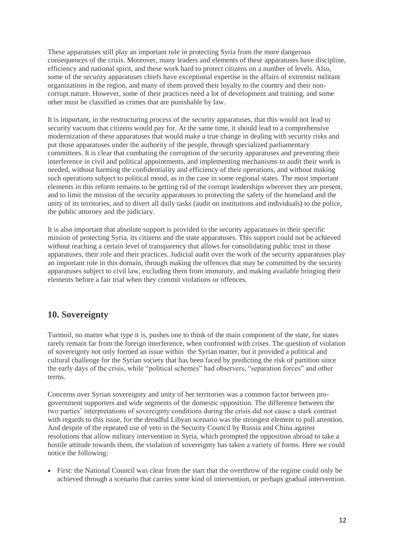These apparatuses still play an important role in protecting Syria from the more dangerous consequences of the crisis. Moreover, many leaders and elements of these apparatuses have discipline, efficiency and national spirit, and these work hard to protect citizens on a number of levels. Also, some of the security apparatuses chiefs have exceptional expertise in the affairs of extremist militant organizations in the region, and many of them proved their loyalty to the country and their noncorrupt nature. However, some of their practices need a lot of development and training, and some other must be classified as crimes that are punishable by law.

It is important, in the restructuring process of the security apparatuses, that this would not lead to security vacuum that citizens would pay for. At the same time, it should lead to a comprehensive modernization of these apparatuses that would make a true change in dealing with security risks and put those apparatuses under the authority of the people, through specialized parliamentary committees. It is clear that combating the corruption of the security apparatuses and preventing their interference in civil and political appointments, and implementing mechanisms to audit their work is needed, without harming the confidentiality and efficiency of their operations, and without making such operations subject to political mood, as in the case in some regional states. The most important elements in this reform remains to be getting rid of the corrupt leaderships wherever they are present, and to limit the mission of the security apparatuses to protecting the safety of the homeland and the unity of its territories, and to divert all daily tasks (audit on institutions and individuals) to the police, the public attorney and the judiciary.

It is also important that absolute support is provided to the security apparatuses in their specific mission of protecting Syria, its citizens and the state apparatuses. This support could not be achieved without reaching a certain level of transparency that allows for consolidating public trust in those apparatuses, their role and their practices. Judicial audit over the work of the security apparatuses play an important role in this domain, through making the offences that may be committed by the security apparatuses subject to civil law, excluding them from immunity, and making available bringing their elements before a fair trial when they commit violations or offences.

# **10. Sovereignty**

Turmoil, no matter what type it is, pushes one to think of the main component of the state, for states rarely remain far from the foreign interference, when confronted with crises. The question of violation of sovereignty not only formed an issue within the Syrian matter, but it provided a political and cultural challenge for the Syrian society that has been faced by predicting the risk of partition since the early days of the crisis, while "political schemes" had observers, "separation forces" and other terms.

Concerns over Syrian sovereignty and unity of her territories was a common factor between progovernment supporters and wide segments of the domestic opposition. The difference between the two parties' interpretations of sovereignty conditions during the crisis did not cause a stark contrast with regards to this issue, for the dreadful Libyan scenario was the strongest element to pull attention. And despite of the repeated use of veto in the Security Council by Russia and China against resolutions that allow military intervention in Syria, which prompted the opposition abroad to take a hostile attitude towards them, the violation of sovereignty has taken a variety of forms. Here we could notice the following:

• First: the National Council was clear from the start that the overthrow of the regime could only be achieved through a scenario that carries some kind of intervention, or perhaps gradual intervention.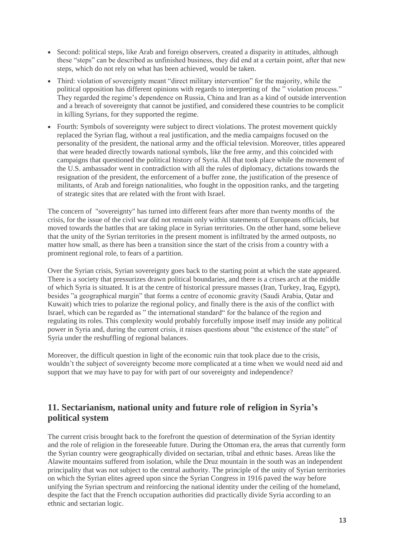- Second: political steps, like Arab and foreign observers, created a disparity in attitudes, although these "steps" can be described as unfinished business, they did end at a certain point, after that new steps, which do not rely on what has been achieved, would be taken.
- Third: violation of sovereignty meant "direct military intervention" for the majority, while the political opposition has different opinions with regards to interpreting of the " violation process." They regarded the regime's dependence on Russia, China and Iran as a kind of outside intervention and a breach of sovereignty that cannot be justified, and considered these countries to be complicit in killing Syrians, for they supported the regime.
- Fourth: Symbols of sovereignty were subject to direct violations. The protest movement quickly replaced the Syrian flag, without a real justification, and the media campaigns focused on the personality of the president, the national army and the official television. Moreover, titles appeared that were headed directly towards national symbols, like the free army, and this coincided with campaigns that questioned the political history of Syria. All that took place while the movement of the U.S. ambassador went in contradiction with all the rules of diplomacy, dictations towards the resignation of the president, the enforcement of a buffer zone, the justification of the presence of militants, of Arab and foreign nationalities, who fought in the opposition ranks, and the targeting of strategic sites that are related with the front with Israel.

The concern of "sovereignty" has turned into different fears after more than twenty months of the crisis, for the issue of the civil war did not remain only within statements of Europeans officials, but moved towards the battles that are taking place in Syrian territories. On the other hand, some believe that the unity of the Syrian territories in the present moment is infiltrated by the armed outposts, no matter how small, as there has been a transition since the start of the crisis from a country with a prominent regional role, to fears of a partition.

Over the Syrian crisis, Syrian sovereignty goes back to the starting point at which the state appeared. There is a society that pressurizes drawn political boundaries, and there is a crises arch at the middle of which Syria is situated. It is at the centre of historical pressure masses (Iran, Turkey, Iraq, Egypt), besides "a geographical margin" that forms a centre of economic gravity (Saudi Arabia, Qatar and Kuwait) which tries to polarize the regional policy, and finally there is the axis of the conflict with Israel, which can be regarded as " the international standard" for the balance of the region and regulating its roles. This complexity would probably forcefully impose itself may inside any political power in Syria and, during the current crisis, it raises questions about "the existence of the state" of Syria under the reshuffling of regional balances.

Moreover, the difficult question in light of the economic ruin that took place due to the crisis, wouldn't the subject of sovereignty become more complicated at a time when we would need aid and support that we may have to pay for with part of our sovereignty and independence?

# **11. Sectarianism, national unity and future role of religion in Syria's political system**

The current crisis brought back to the forefront the question of determination of the Syrian identity and the role of religion in the foreseeable future. During the Ottoman era, the areas that currently form the Syrian country were geographically divided on sectarian, tribal and ethnic bases. Areas like the Alawite mountains suffered from isolation, while the Druz mountain in the south was an independent principality that was not subject to the central authority. The principle of the unity of Syrian territories on which the Syrian elites agreed upon since the Syrian Congress in 1916 paved the way before unifying the Syrian spectrum and reinforcing the national identity under the ceiling of the homeland, despite the fact that the French occupation authorities did practically divide Syria according to an ethnic and sectarian logic.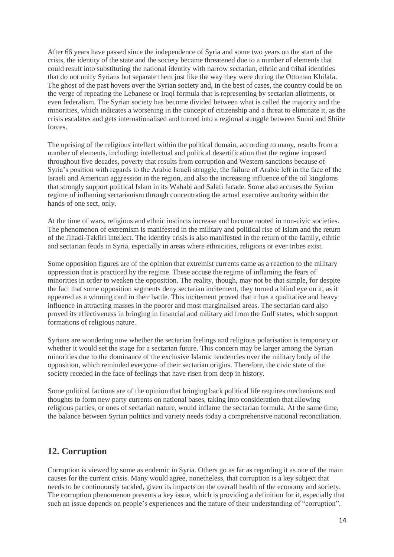After 66 years have passed since the independence of Syria and some two years on the start of the crisis, the identity of the state and the society became threatened due to a number of elements that could result into substituting the national identity with narrow sectarian, ethnic and tribal identities that do not unify Syrians but separate them just like the way they were during the Ottoman Khilafa. The ghost of the past hovers over the Syrian society and, in the best of cases, the country could be on the verge of repeating the Lebanese or Iraqi formula that is representing by sectarian allotments, or even federalism. The Syrian society has become divided between what is called the majority and the minorities, which indicates a worsening in the concept of citizenship and a threat to eliminate it, as the crisis escalates and gets internationalised and turned into a regional struggle between Sunni and Shiite forces.

The uprising of the religious intellect within the political domain, according to many, results from a number of elements, including: intellectual and political desertification that the regime imposed throughout five decades, poverty that results from corruption and Western sanctions because of Syria's position with regards to the Arabic Israeli struggle, the failure of Arabic left in the face of the Israeli and American aggression in the region, and also the increasing influence of the oil kingdoms that strongly support political Islam in its Wahabi and Salafi facade. Some also accuses the Syrian regime of inflaming sectarianism through concentrating the actual executive authority within the hands of one sect, only.

At the time of wars, religious and ethnic instincts increase and become rooted in non-civic societies. The phenomenon of extremism is manifested in the military and political rise of Islam and the return of the Jihadi-Takfiri intellect. The identity crisis is also manifested in the return of the family, ethnic and sectarian feuds in Syria, especially in areas where ethnicities, religions or ever tribes exist.

Some opposition figures are of the opinion that extremist currents came as a reaction to the military oppression that is practiced by the regime. These accuse the regime of inflaming the fears of minorities in order to weaken the opposition. The reality, though, may not be that simple, for despite the fact that some opposition segments deny sectarian incitement, they turned a blind eye on it, as it appeared as a winning card in their battle. This incitement proved that it has a qualitative and heavy influence in attracting masses in the poorer and most marginalised areas. The sectarian card also proved its effectiveness in bringing in financial and military aid from the Gulf states, which support formations of religious nature.

Syrians are wondering now whether the sectarian feelings and religious polarisation is temporary or whether it would set the stage for a sectarian future. This concern may be larger among the Syrian minorities due to the dominance of the exclusive Islamic tendencies over the military body of the opposition, which reminded everyone of their sectarian origins. Therefore, the civic state of the society receded in the face of feelings that have risen from deep in history.

Some political factions are of the opinion that bringing back political life requires mechanisms and thoughts to form new party currents on national bases, taking into consideration that allowing religious parties, or ones of sectarian nature, would inflame the sectarian formula. At the same time, the balance between Syrian politics and variety needs today a comprehensive national reconciliation.

# **12. Corruption**

Corruption is viewed by some as endemic in Syria. Others go as far as regarding it as one of the main causes for the current crisis. Many would agree, nonetheless, that corruption is a key subject that needs to be continuously tackled, given its impacts on the overall health of the economy and society. The corruption phenomenon presents a key issue, which is providing a definition for it, especially that such an issue depends on people's experiences and the nature of their understanding of "corruption".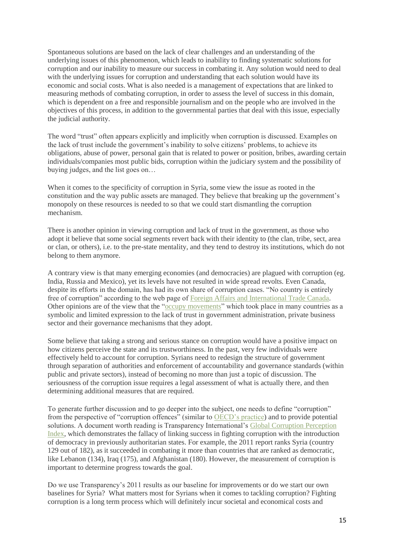Spontaneous solutions are based on the lack of clear challenges and an understanding of the underlying issues of this phenomenon, which leads to inability to finding systematic solutions for corruption and our inability to measure our success in combating it. Any solution would need to deal with the underlying issues for corruption and understanding that each solution would have its economic and social costs. What is also needed is a management of expectations that are linked to measuring methods of combating corruption, in order to assess the level of success in this domain, which is dependent on a free and responsible journalism and on the people who are involved in the objectives of this process, in addition to the governmental parties that deal with this issue, especially the judicial authority.

The word "trust" often appears explicitly and implicitly when corruption is discussed. Examples on the lack of trust include the government's inability to solve citizens' problems, to achieve its obligations, abuse of power, personal gain that is related to power or position, bribes, awarding certain individuals/companies most public bids, corruption within the judiciary system and the possibility of buying judges, and the list goes on…

When it comes to the specificity of corruption in Syria, some view the issue as rooted in the constitution and the way public assets are managed. They believe that breaking up the government's monopoly on these resources is needed to so that we could start dismantling the corruption mechanism.

There is another opinion in viewing corruption and lack of trust in the government, as those who adopt it believe that some social segments revert back with their identity to (the clan, tribe, sect, area or clan, or others), i.e. to the pre-state mentality, and they tend to destroy its institutions, which do not belong to them anymore.

A contrary view is that many emerging economies (and democracies) are plagued with corruption (eg. India, Russia and Mexico), yet its levels have not resulted in wide spread revolts. Even Canada, despite its efforts in the domain, has had its own share of corruption cases. "No country is entirely free of corruption" according to the web page of [Foreign Affairs and International Trade Canada.](http://www.international.gc.ca/crime/corruption.aspx?view=d) Other opinions are of the view that the ["occupy movements"](http://en.wikipedia.org/wiki/Occupy_movement) which took place in many countries as a symbolic and limited expression to the lack of trust in government administration, private business sector and their governance mechanisms that they adopt.

Some believe that taking a strong and serious stance on corruption would have a positive impact on how citizens perceive the state and its trustworthiness. In the past, very few individuals were effectively held to account for corruption. Syrians need to redesign the structure of government through separation of authorities and enforcement of accountability and governance standards (within public and private sectors), instead of becoming no more than just a topic of discussion. The seriousness of the corruption issue requires a legal assessment of what is actually there, and then determining additional measures that are required.

To generate further discussion and to go deeper into the subject, one needs to define "corruption" from the perspective of "corruption offences" (similar to [OECD's practice\)](http://www.oecdobserver.org/news/fullstory.php/aid/2163/Defining_corruption.html) and to provide potential solutions. A document worth reading is Transparency International's [Global Corruption Perception](http://cpi.transparency.org/cpi2012/results/)  [Index,](http://cpi.transparency.org/cpi2012/results/) which demonstrates the fallacy of linking success in fighting corruption with the introduction of democracy in previously authoritarian states. For example, the 2011 report ranks Syria (country 129 out of 182), as it succeeded in combating it more than countries that are ranked as democratic, like Lebanon (134), Iraq (175), and Afghanistan (180). However, the measurement of corruption is important to determine progress towards the goal.

Do we use Transparency's 2011 results as our baseline for improvements or do we start our own baselines for Syria? What matters most for Syrians when it comes to tackling corruption? Fighting corruption is a long term process which will definitely incur societal and economical costs and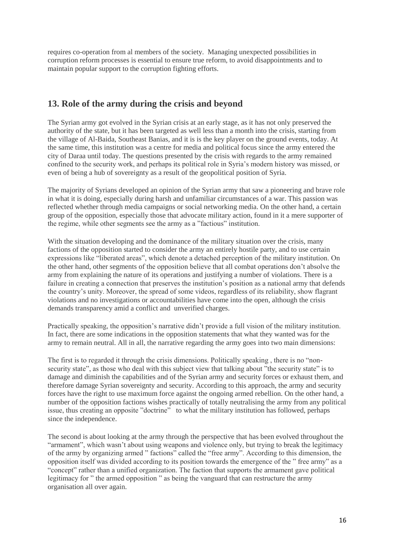requires co-operation from al members of the society. Managing unexpected possibilities in corruption reform processes is essential to ensure true reform, to avoid disappointments and to maintain popular support to the corruption fighting efforts.

# **13. Role of the army during the crisis and beyond**

The Syrian army got evolved in the Syrian crisis at an early stage, as it has not only preserved the authority of the state, but it has been targeted as well less than a month into the crisis, starting from the village of Al-Baida, Southeast Banias, and it is is the key player on the ground events, today. At the same time, this institution was a centre for media and political focus since the army entered the city of Daraa until today. The questions presented by the crisis with regards to the army remained confined to the security work, and perhaps its political role in Syria's modern history was missed, or even of being a hub of sovereignty as a result of the geopolitical position of Syria.

The majority of Syrians developed an opinion of the Syrian army that saw a pioneering and brave role in what it is doing, especially during harsh and unfamiliar circumstances of a war. This passion was reflected whether through media campaigns or social networking media. On the other hand, a certain group of the opposition, especially those that advocate military action, found in it a mere supporter of the regime, while other segments see the army as a "factious" institution.

With the situation developing and the dominance of the military situation over the crisis, many factions of the opposition started to consider the army an entirely hostile party, and to use certain expressions like "liberated areas", which denote a detached perception of the military institution. On the other hand, other segments of the opposition believe that all combat operations don't absolve the army from explaining the nature of its operations and justifying a number of violations. There is a failure in creating a connection that preserves the institution's position as a national army that defends the country's unity. Moreover, the spread of some videos, regardless of its reliability, show flagrant violations and no investigations or accountabilities have come into the open, although the crisis demands transparency amid a conflict and unverified charges.

Practically speaking, the opposition's narrative didn't provide a full vision of the military institution. In fact, there are some indications in the opposition statements that what they wanted was for the army to remain neutral. All in all, the narrative regarding the army goes into two main dimensions:

The first is to regarded it through the crisis dimensions. Politically speaking , there is no "nonsecurity state", as those who deal with this subject view that talking about "the security state" is to damage and diminish the capabilities and of the Syrian army and security forces or exhaust them, and therefore damage Syrian sovereignty and security. According to this approach, the army and security forces have the right to use maximum force against the ongoing armed rebellion. On the other hand, a number of the opposition factions wishes practically of totally neutralising the army from any political issue, thus creating an opposite "doctrine" to what the military institution has followed, perhaps since the independence.

The second is about looking at the army through the perspective that has been evolved throughout the "armament", which wasn't about using weapons and violence only, but trying to break the legitimacy of the army by organizing armed " factions" called the "free army". According to this dimension, the opposition itself was divided according to its position towards the emergence of the " free army" as a "concept" rather than a unified organization. The faction that supports the armament gave political legitimacy for " the armed opposition " as being the vanguard that can restructure the army organisation all over again.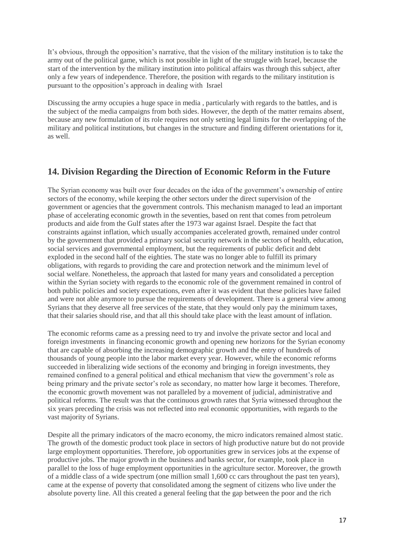It's obvious, through the opposition's narrative, that the vision of the military institution is to take the army out of the political game, which is not possible in light of the struggle with Israel, because the start of the intervention by the military institution into political affairs was through this subject, after only a few years of independence. Therefore, the position with regards to the military institution is pursuant to the opposition's approach in dealing with Israel

Discussing the army occupies a huge space in media , particularly with regards to the battles, and is the subject of the media campaigns from both sides. However, the depth of the matter remains absent, because any new formulation of its role requires not only setting legal limits for the overlapping of the military and political institutions, but changes in the structure and finding different orientations for it, as well.

# **14. Division Regarding the Direction of Economic Reform in the Future**

The Syrian economy was built over four decades on the idea of the government's ownership of entire sectors of the economy, while keeping the other sectors under the direct supervision of the government or agencies that the government controls. This mechanism managed to lead an important phase of accelerating economic growth in the seventies, based on rent that comes from petroleum products and aide from the Gulf states after the 1973 war against Israel. Despite the fact that constraints against inflation, which usually accompanies accelerated growth, remained under control by the government that provided a primary social security network in the sectors of health, education, social services and governmental employment, but the requirements of public deficit and debt exploded in the second half of the eighties. The state was no longer able to fulfill its primary obligations, with regards to providing the care and protection network and the minimum level of social welfare. Nonetheless, the approach that lasted for many years and consolidated a perception within the Syrian society with regards to the economic role of the government remained in control of both public policies and society expectations, even after it was evident that these policies have failed and were not able anymore to pursue the requirements of development. There is a general view among Syrians that they deserve all free services of the state, that they would only pay the minimum taxes, that their salaries should rise, and that all this should take place with the least amount of inflation.

The economic reforms came as a pressing need to try and involve the private sector and local and foreign investments in financing economic growth and opening new horizons for the Syrian economy that are capable of absorbing the increasing demographic growth and the entry of hundreds of thousands of young people into the labor market every year. However, while the economic reforms succeeded in liberalizing wide sections of the economy and bringing in foreign investments, they remained confined to a general political and ethical mechanism that view the government's role as being primary and the private sector's role as secondary, no matter how large it becomes. Therefore, the economic growth movement was not paralleled by a movement of judicial, administrative and political reforms. The result was that the continuous growth rates that Syria witnessed throughout the six years preceding the crisis was not reflected into real economic opportunities, with regards to the vast majority of Syrians.

Despite all the primary indicators of the macro economy, the micro indicators remained almost static. The growth of the domestic product took place in sectors of high productive nature but do not provide large employment opportunities. Therefore, job opportunities grew in services jobs at the expense of productive jobs. The major growth in the business and banks sector, for example, took place in parallel to the loss of huge employment opportunities in the agriculture sector. Moreover, the growth of a middle class of a wide spectrum (one million small 1,600 cc cars throughout the past ten years), came at the expense of poverty that consolidated among the segment of citizens who live under the absolute poverty line. All this created a general feeling that the gap between the poor and the rich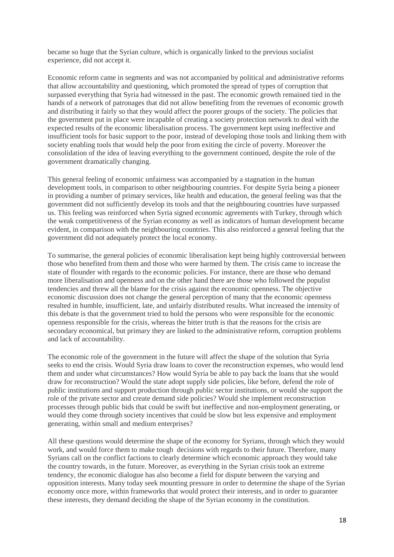became so huge that the Syrian culture, which is organically linked to the previous socialist experience, did not accept it.

Economic reform came in segments and was not accompanied by political and administrative reforms that allow accountability and questioning, which promoted the spread of types of corruption that surpassed everything that Syria had witnessed in the past. The economic growth remained tied in the hands of a network of patronages that did not allow benefiting from the revenues of economic growth and distributing it fairly so that they would affect the poorer groups of the society. The policies that the government put in place were incapable of creating a society protection network to deal with the expected results of the economic liberalisation process. The government kept using ineffective and insufficient tools for basic support to the poor, instead of developing those tools and linking them with society enabling tools that would help the poor from exiting the circle of poverty. Moreover the consolidation of the idea of leaving everything to the government continued, despite the role of the government dramatically changing.

This general feeling of economic unfairness was accompanied by a stagnation in the human development tools, in comparison to other neighbouring countries. For despite Syria being a pioneer in providing a number of primary services, like health and education, the general feeling was that the government did not sufficiently develop its tools and that the neighbouring countries have surpassed us. This feeling was reinforced when Syria signed economic agreements with Turkey, through which the weak competitiveness of the Syrian economy as well as indicators of human development became evident, in comparison with the neighbouring countries. This also reinforced a general feeling that the government did not adequately protect the local economy.

To summarise, the general policies of economic liberalisation kept being highly controversial between those who benefited from them and those who were harmed by them. The crisis came to increase the state of flounder with regards to the economic policies. For instance, there are those who demand more liberalisation and openness and on the other hand there are those who followed the populist tendencies and threw all the blame for the crisis against the economic openness. The objective economic discussion does not change the general perception of many that the economic openness resulted in humble, insufficient, late, and unfairly distributed results. What increased the intensity of this debate is that the government tried to hold the persons who were responsible for the economic openness responsible for the crisis, whereas the bitter truth is that the reasons for the crisis are secondary economical, but primary they are linked to the administrative reform, corruption problems and lack of accountability.

The economic role of the government in the future will affect the shape of the solution that Syria seeks to end the crisis. Would Syria draw loans to cover the reconstruction expenses, who would lend them and under what circumstances? How would Syria be able to pay back the loans that she would draw for reconstruction? Would the state adopt supply side policies, like before, defend the role of public institutions and support production through public sector institutions, or would she support the role of the private sector and create demand side policies? Would she implement reconstruction processes through public bids that could be swift but ineffective and non-employment generating, or would they come through society incentives that could be slow but less expensive and employment generating, within small and medium enterprises?

All these questions would determine the shape of the economy for Syrians, through which they would work, and would force them to make tough decisions with regards to their future. Therefore, many Syrians call on the conflict factions to clearly determine which economic approach they would take the country towards, in the future. Moreover, as everything in the Syrian crisis took an extreme tendency, the economic dialogue has also become a field for dispute between the varying and opposition interests. Many today seek mounting pressure in order to determine the shape of the Syrian economy once more, within frameworks that would protect their interests, and in order to guarantee these interests, they demand deciding the shape of the Syrian economy in the constitution.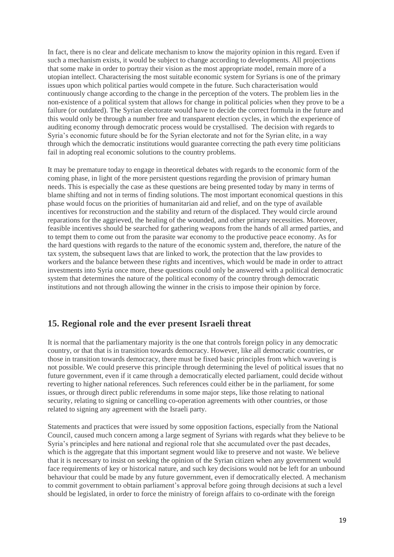In fact, there is no clear and delicate mechanism to know the majority opinion in this regard. Even if such a mechanism exists, it would be subject to change according to developments. All projections that some make in order to portray their vision as the most appropriate model, remain more of a utopian intellect. Characterising the most suitable economic system for Syrians is one of the primary issues upon which political parties would compete in the future. Such characterisation would continuously change according to the change in the perception of the voters. The problem lies in the non-existence of a political system that allows for change in political policies when they prove to be a failure (or outdated). The Syrian electorate would have to decide the correct formula in the future and this would only be through a number free and transparent election cycles, in which the experience of auditing economy through democratic process would be crystallised. The decision with regards to Syria's economic future should be for the Syrian electorate and not for the Syrian elite, in a way through which the democratic institutions would guarantee correcting the path every time politicians fail in adopting real economic solutions to the country problems.

It may be premature today to engage in theoretical debates with regards to the economic form of the coming phase, in light of the more persistent questions regarding the provision of primary human needs. This is especially the case as these questions are being presented today by many in terms of blame shifting and not in terms of finding solutions. The most important economical questions in this phase would focus on the priorities of humanitarian aid and relief, and on the type of available incentives for reconstruction and the stability and return of the displaced. They would circle around reparations for the aggrieved, the healing of the wounded, and other primary necessities. Moreover, feasible incentives should be searched for gathering weapons from the hands of all armed parties, and to tempt them to come out from the parasite war economy to the productive peace economy. As for the hard questions with regards to the nature of the economic system and, therefore, the nature of the tax system, the subsequent laws that are linked to work, the protection that the law provides to workers and the balance between these rights and incentives, which would be made in order to attract investments into Syria once more, these questions could only be answered with a political democratic system that determines the nature of the political economy of the country through democratic institutions and not through allowing the winner in the crisis to impose their opinion by force.

# **15. Regional role and the ever present Israeli threat**

It is normal that the parliamentary majority is the one that controls foreign policy in any democratic country, or that that is in transition towards democracy. However, like all democratic countries, or those in transition towards democracy, there must be fixed basic principles from which wavering is not possible. We could preserve this principle through determining the level of political issues that no future government, even if it came through a democratically elected parliament, could decide without reverting to higher national references. Such references could either be in the parliament, for some issues, or through direct public referendums in some major steps, like those relating to national security, relating to signing or cancelling co-operation agreements with other countries, or those related to signing any agreement with the Israeli party.

Statements and practices that were issued by some opposition factions, especially from the National Council, caused much concern among a large segment of Syrians with regards what they believe to be Syria's principles and here national and regional role that she accumulated over the past decades, which is the aggregate that this important segment would like to preserve and not waste. We believe that it is necessary to insist on seeking the opinion of the Syrian citizen when any government would face requirements of key or historical nature, and such key decisions would not be left for an unbound behaviour that could be made by any future government, even if democratically elected. A mechanism to commit government to obtain parliament's approval before going through decisions at such a level should be legislated, in order to force the ministry of foreign affairs to co-ordinate with the foreign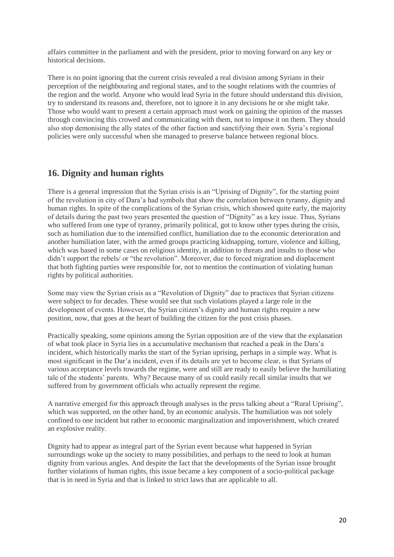affairs committee in the parliament and with the president, prior to moving forward on any key or historical decisions.

There is no point ignoring that the current crisis revealed a real division among Syrians in their perception of the neighbouring and regional states, and to the sought relations with the countries of the region and the world. Anyone who would lead Syria in the future should understand this division, try to understand its reasons and, therefore, not to ignore it in any decisions he or she might take. Those who would want to present a certain approach must work on gaining the opinion of the masses through convincing this crowed and communicating with them, not to impose it on them. They should also stop demonising the ally states of the other faction and sanctifying their own. Syria's regional policies were only successful when she managed to preserve balance between regional blocs.

# **16. Dignity and human rights**

There is a general impression that the Syrian crisis is an "Uprising of Dignity", for the starting point of the revolution in city of Dara'a had symbols that show the correlation between tyranny, dignity and human rights. In spite of the complications of the Syrian crisis, which showed quite early, the majority of details during the past two years presented the question of "Dignity" as a key issue. Thus, Syrians who suffered from one type of tyranny, primarily political, got to know other types during the crisis, such as humiliation due to the intensified conflict, humiliation due to the economic deterioration and another humiliation later, with the armed groups practicing kidnapping, torture, violence and killing, which was based in some cases on religious identity, in addition to threats and insults to those who didn't support the rebels/ or "the revolution". Moreover, due to forced migration and displacement that both fighting parties were responsible for, not to mention the continuation of violating human rights by political authorities.

Some may view the Syrian crisis as a "Revolution of Dignity" due to practices that Syrian citizens were subject to for decades. These would see that such violations played a large role in the development of events. However, the Syrian citizen's dignity and human rights require a new position, now, that goes at the heart of building the citizen for the post crisis phases.

Practically speaking, some opinions among the Syrian opposition are of the view that the explanation of what took place in Syria lies in a accumulative mechanism that reached a peak in the Dara'a incident, which historically marks the start of the Syrian uprising, perhaps in a simple way. What is most significant in the Dar'a incident, even if its details are yet to become clear, is that Syrians of various acceptance levels towards the regime, were and still are ready to easily believe the humiliating tale of the students' parents. Why? Because many of us could easily recall similar insults that we suffered from by government officials who actually represent the regime.

A narrative emerged for this approach through analyses in the press talking about a "Rural Uprising", which was supported, on the other hand, by an economic analysis. The humiliation was not solely confined to one incident but rather to economic marginalization and impoverishment, which created an explosive reality.

Dignity had to appear as integral part of the Syrian event because what happened in Syrian surroundings woke up the society to many possibilities, and perhaps to the need to look at human dignity from various angles. And despite the fact that the developments of the Syrian issue brought further violations of human rights, this issue became a key component of a socio-political package that is in need in Syria and that is linked to strict laws that are applicable to all.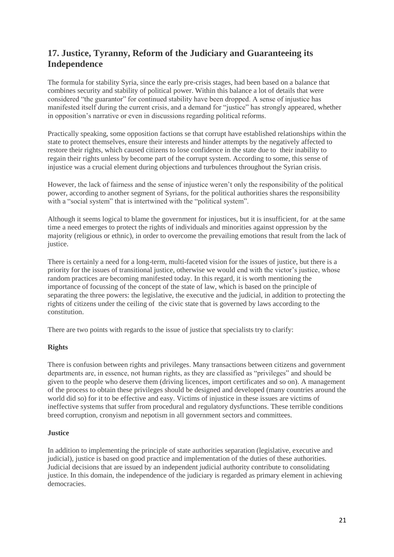# **17. Justice, Tyranny, Reform of the Judiciary and Guaranteeing its Independence**

The formula for stability Syria, since the early pre-crisis stages, had been based on a balance that combines security and stability of political power. Within this balance a lot of details that were considered "the guarantor" for continued stability have been dropped. A sense of injustice has manifested itself during the current crisis, and a demand for "justice" has strongly appeared, whether in opposition's narrative or even in discussions regarding political reforms.

Practically speaking, some opposition factions se that corrupt have established relationships within the state to protect themselves, ensure their interests and hinder attempts by the negatively affected to restore their rights, which caused citizens to lose confidence in the state due to their inability to regain their rights unless by become part of the corrupt system. According to some, this sense of injustice was a crucial element during objections and turbulences throughout the Syrian crisis.

However, the lack of fairness and the sense of injustice weren't only the responsibility of the political power, according to another segment of Syrians, for the political authorities shares the responsibility with a "social system" that is intertwined with the "political system".

Although it seems logical to blame the government for injustices, but it is insufficient, for at the same time a need emerges to protect the rights of individuals and minorities against oppression by the majority (religious or ethnic), in order to overcome the prevailing emotions that result from the lack of justice.

There is certainly a need for a long-term, multi-faceted vision for the issues of justice, but there is a priority for the issues of transitional justice, otherwise we would end with the victor's justice, whose random practices are becoming manifested today. In this regard, it is worth mentioning the importance of focussing of the concept of the state of law, which is based on the principle of separating the three powers: the legislative, the executive and the judicial, in addition to protecting the rights of citizens under the ceiling of the civic state that is governed by laws according to the constitution.

There are two points with regards to the issue of justice that specialists try to clarify:

## **Rights**

There is confusion between rights and privileges. Many transactions between citizens and government departments are, in essence, not human rights, as they are classified as "privileges" and should be given to the people who deserve them (driving licences, import certificates and so on). A management of the process to obtain these privileges should be designed and developed (many countries around the world did so) for it to be effective and easy. Victims of injustice in these issues are victims of ineffective systems that suffer from procedural and regulatory dysfunctions. These terrible conditions breed corruption, cronyism and nepotism in all government sectors and committees.

## **Justice**

In addition to implementing the principle of state authorities separation (legislative, executive and judicial), justice is based on good practice and implementation of the duties of these authorities. Judicial decisions that are issued by an independent judicial authority contribute to consolidating justice. In this domain, the independence of the judiciary is regarded as primary element in achieving democracies.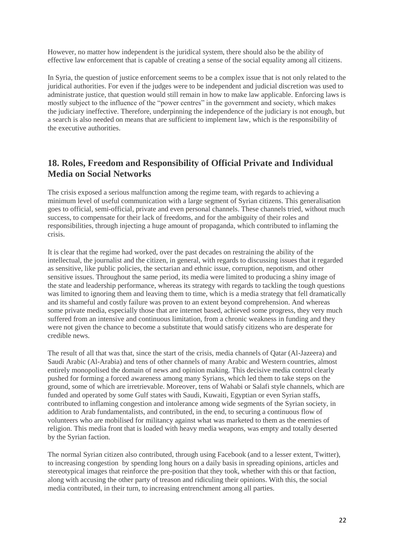However, no matter how independent is the juridical system, there should also be the ability of effective law enforcement that is capable of creating a sense of the social equality among all citizens.

In Syria, the question of justice enforcement seems to be a complex issue that is not only related to the juridical authorities. For even if the judges were to be independent and judicial discretion was used to administrate justice, that question would still remain in how to make law applicable. Enforcing laws is mostly subject to the influence of the "power centres" in the government and society, which makes the judiciary ineffective. Therefore, underpinning the independence of the judiciary is not enough, but a search is also needed on means that are sufficient to implement law, which is the responsibility of the executive authorities.

# **18. Roles, Freedom and Responsibility of Official Private and Individual Media on Social Networks**

The crisis exposed a serious malfunction among the regime team, with regards to achieving a minimum level of useful communication with a large segment of Syrian citizens. This generalisation goes to official, semi-official, private and even personal channels. These channels tried, without much success, to compensate for their lack of freedoms, and for the ambiguity of their roles and responsibilities, through injecting a huge amount of propaganda, which contributed to inflaming the crisis.

It is clear that the regime had worked, over the past decades on restraining the ability of the intellectual, the journalist and the citizen, in general, with regards to discussing issues that it regarded as sensitive, like public policies, the sectarian and ethnic issue, corruption, nepotism, and other sensitive issues. Throughout the same period, its media were limited to producing a shiny image of the state and leadership performance, whereas its strategy with regards to tackling the tough questions was limited to ignoring them and leaving them to time, which is a media strategy that fell dramatically and its shameful and costly failure was proven to an extent beyond comprehension. And whereas some private media, especially those that are internet based, achieved some progress, they very much suffered from an intensive and continuous limitation, from a chronic weakness in funding and they were not given the chance to become a substitute that would satisfy citizens who are desperate for credible news.

The result of all that was that, since the start of the crisis, media channels of Qatar (Al-Jazeera) and Saudi Arabic (Al-Arabia) and tens of other channels of many Arabic and Western countries, almost entirely monopolised the domain of news and opinion making. This decisive media control clearly pushed for forming a forced awareness among many Syrians, which led them to take steps on the ground, some of which are irretrievable. Moreover, tens of Wahabi or Salafi style channels, which are funded and operated by some Gulf states with Saudi, Kuwaiti, Egyptian or even Syrian staffs, contributed to inflaming congestion and intolerance among wide segments of the Syrian society, in addition to Arab fundamentalists, and contributed, in the end, to securing a continuous flow of volunteers who are mobilised for militancy against what was marketed to them as the enemies of religion. This media front that is loaded with heavy media weapons, was empty and totally deserted by the Syrian faction.

The normal Syrian citizen also contributed, through using Facebook (and to a lesser extent, Twitter), to increasing congestion by spending long hours on a daily basis in spreading opinions, articles and stereotypical images that reinforce the pre-position that they took, whether with this or that faction, along with accusing the other party of treason and ridiculing their opinions. With this, the social media contributed, in their turn, to increasing entrenchment among all parties.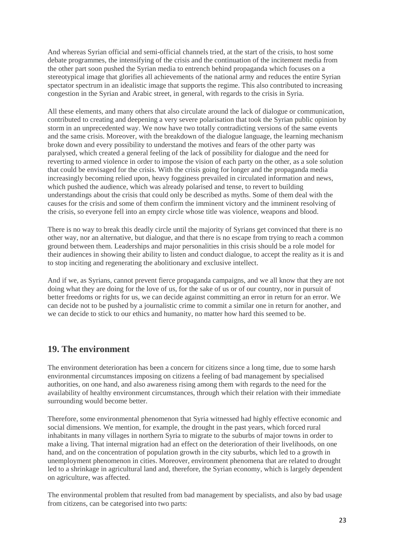And whereas Syrian official and semi-official channels tried, at the start of the crisis, to host some debate programmes, the intensifying of the crisis and the continuation of the incitement media from the other part soon pushed the Syrian media to entrench behind propaganda which focuses on a stereotypical image that glorifies all achievements of the national army and reduces the entire Syrian spectator spectrum in an idealistic image that supports the regime. This also contributed to increasing congestion in the Syrian and Arabic street, in general, with regards to the crisis in Syria.

All these elements, and many others that also circulate around the lack of dialogue or communication, contributed to creating and deepening a very severe polarisation that took the Syrian public opinion by storm in an unprecedented way. We now have two totally contradicting versions of the same events and the same crisis. Moreover, with the breakdown of the dialogue language, the learning mechanism broke down and every possibility to understand the motives and fears of the other party was paralysed, which created a general feeling of the lack of possibility for dialogue and the need for reverting to armed violence in order to impose the vision of each party on the other, as a sole solution that could be envisaged for the crisis. With the crisis going for longer and the propaganda media increasingly becoming relied upon, heavy fogginess prevailed in circulated information and news, which pushed the audience, which was already polarised and tense, to revert to building understandings about the crisis that could only be described as myths. Some of them deal with the causes for the crisis and some of them confirm the imminent victory and the imminent resolving of the crisis, so everyone fell into an empty circle whose title was violence, weapons and blood.

There is no way to break this deadly circle until the majority of Syrians get convinced that there is no other way, nor an alternative, but dialogue, and that there is no escape from trying to reach a common ground between them. Leaderships and major personalities in this crisis should be a role model for their audiences in showing their ability to listen and conduct dialogue, to accept the reality as it is and to stop inciting and regenerating the abolitionary and exclusive intellect.

And if we, as Syrians, cannot prevent fierce propaganda campaigns, and we all know that they are not doing what they are doing for the love of us, for the sake of us or of our country, nor in pursuit of better freedoms or rights for us, we can decide against committing an error in return for an error. We can decide not to be pushed by a journalistic crime to commit a similar one in return for another, and we can decide to stick to our ethics and humanity, no matter how hard this seemed to be.

# **19. The environment**

The environment deterioration has been a concern for citizens since a long time, due to some harsh environmental circumstances imposing on citizens a feeling of bad management by specialised authorities, on one hand, and also awareness rising among them with regards to the need for the availability of healthy environment circumstances, through which their relation with their immediate surrounding would become better.

Therefore, some environmental phenomenon that Syria witnessed had highly effective economic and social dimensions. We mention, for example, the drought in the past years, which forced rural inhabitants in many villages in northern Syria to migrate to the suburbs of major towns in order to make a living. That internal migration had an effect on the deterioration of their livelihoods, on one hand, and on the concentration of population growth in the city suburbs, which led to a growth in unemployment phenomenon in cities. Moreover, environment phenomena that are related to drought led to a shrinkage in agricultural land and, therefore, the Syrian economy, which is largely dependent on agriculture, was affected.

The environmental problem that resulted from bad management by specialists, and also by bad usage from citizens, can be categorised into two parts: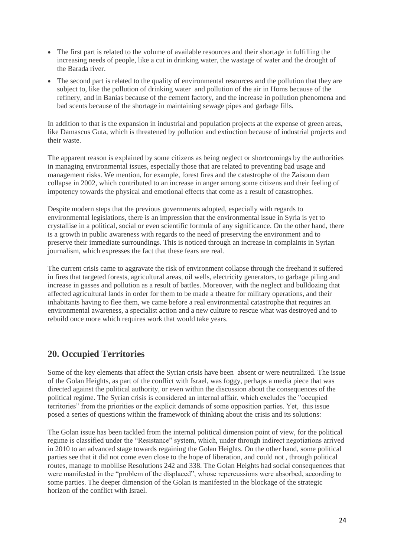- The first part is related to the volume of available resources and their shortage in fulfilling the increasing needs of people, like a cut in drinking water, the wastage of water and the drought of the Barada river.
- The second part is related to the quality of environmental resources and the pollution that they are subject to, like the pollution of drinking water and pollution of the air in Homs because of the refinery, and in Banias because of the cement factory, and the increase in pollution phenomena and bad scents because of the shortage in maintaining sewage pipes and garbage fills.

In addition to that is the expansion in industrial and population projects at the expense of green areas, like Damascus Guta, which is threatened by pollution and extinction because of industrial projects and their waste.

The apparent reason is explained by some citizens as being neglect or shortcomings by the authorities in managing environmental issues, especially those that are related to preventing bad usage and management risks. We mention, for example, forest fires and the catastrophe of the Zaisoun dam collapse in 2002, which contributed to an increase in anger among some citizens and their feeling of impotency towards the physical and emotional effects that come as a result of catastrophes.

Despite modern steps that the previous governments adopted, especially with regards to environmental legislations, there is an impression that the environmental issue in Syria is yet to crystallise in a political, social or even scientific formula of any significance. On the other hand, there is a growth in public awareness with regards to the need of preserving the environment and to preserve their immediate surroundings. This is noticed through an increase in complaints in Syrian journalism, which expresses the fact that these fears are real.

The current crisis came to aggravate the risk of environment collapse through the freehand it suffered in fires that targeted forests, agricultural areas, oil wells, electricity generators, to garbage piling and increase in gasses and pollution as a result of battles. Moreover, with the neglect and bulldozing that affected agricultural lands in order for them to be made a theatre for military operations, and their inhabitants having to flee them, we came before a real environmental catastrophe that requires an environmental awareness, a specialist action and a new culture to rescue what was destroyed and to rebuild once more which requires work that would take years.

# **20. Occupied Territories**

Some of the key elements that affect the Syrian crisis have been absent or were neutralized. The issue of the Golan Heights, as part of the conflict with Israel, was foggy, perhaps a media piece that was directed against the political authority, or even within the discussion about the consequences of the political regime. The Syrian crisis is considered an internal affair, which excludes the "occupied territories" from the priorities or the explicit demands of some opposition parties. Yet, this issue posed a series of questions within the framework of thinking about the crisis and its solutions:

The Golan issue has been tackled from the internal political dimension point of view, for the political regime is classified under the "Resistance" system, which, under through indirect negotiations arrived in 2010 to an advanced stage towards regaining the Golan Heights. On the other hand, some political parties see that it did not come even close to the hope of liberation, and could not , through political routes, manage to mobilise Resolutions 242 and 338. The Golan Heights had social consequences that were manifested in the "problem of the displaced", whose repercussions were absorbed, according to some parties. The deeper dimension of the Golan is manifested in the blockage of the strategic horizon of the conflict with Israel